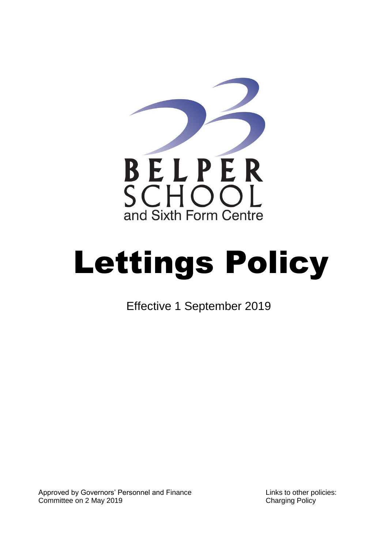

# Lettings Policy

Effective 1 September 2019

Approved by Governors' Personnel and Finance Committee on 2 May 2019

Links to other policies: Charging Policy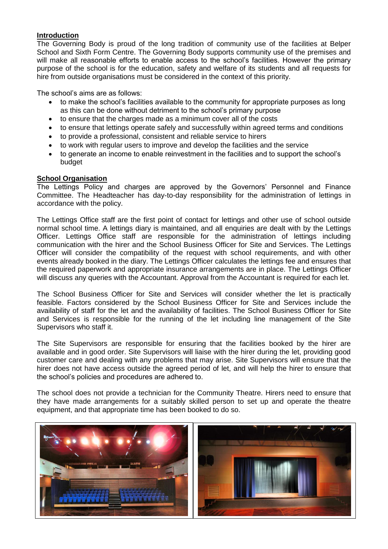# **Introduction**

The Governing Body is proud of the long tradition of community use of the facilities at Belper School and Sixth Form Centre. The Governing Body supports community use of the premises and will make all reasonable efforts to enable access to the school's facilities. However the primary purpose of the school is for the education, safety and welfare of its students and all requests for hire from outside organisations must be considered in the context of this priority.

The school's aims are as follows:

- to make the school's facilities available to the community for appropriate purposes as long as this can be done without detriment to the school's primary purpose
- to ensure that the charges made as a minimum cover all of the costs
- to ensure that lettings operate safely and successfully within agreed terms and conditions
- to provide a professional, consistent and reliable service to hirers
- to work with regular users to improve and develop the facilities and the service
- to generate an income to enable reinvestment in the facilities and to support the school's budget

# **School Organisation**

The Lettings Policy and charges are approved by the Governors' Personnel and Finance Committee. The Headteacher has day-to-day responsibility for the administration of lettings in accordance with the policy.

The Lettings Office staff are the first point of contact for lettings and other use of school outside normal school time. A lettings diary is maintained, and all enquiries are dealt with by the Lettings Officer. Lettings Office staff are responsible for the administration of lettings including communication with the hirer and the School Business Officer for Site and Services. The Lettings Officer will consider the compatibility of the request with school requirements, and with other events already booked in the diary. The Lettings Officer calculates the lettings fee and ensures that the required paperwork and appropriate insurance arrangements are in place. The Lettings Officer will discuss any queries with the Accountant. Approval from the Accountant is required for each let.

The School Business Officer for Site and Services will consider whether the let is practically feasible. Factors considered by the School Business Officer for Site and Services include the availability of staff for the let and the availability of facilities. The School Business Officer for Site and Services is responsible for the running of the let including line management of the Site Supervisors who staff it.

The Site Supervisors are responsible for ensuring that the facilities booked by the hirer are available and in good order. Site Supervisors will liaise with the hirer during the let, providing good customer care and dealing with any problems that may arise. Site Supervisors will ensure that the hirer does not have access outside the agreed period of let, and will help the hirer to ensure that the school's policies and procedures are adhered to.

The school does not provide a technician for the Community Theatre. Hirers need to ensure that they have made arrangements for a suitably skilled person to set up and operate the theatre equipment, and that appropriate time has been booked to do so.

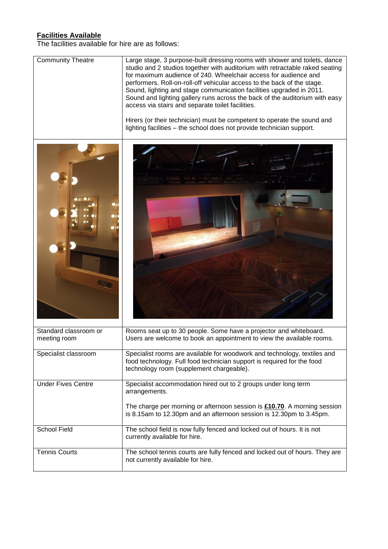# **Facilities Available**

The facilities available for hire are as follows:

| <b>Community Theatre</b>              | Large stage, 3 purpose-built dressing rooms with shower and toilets, dance<br>studio and 2 studios together with auditorium with retractable raked seating<br>for maximum audience of 240. Wheelchair access for audience and<br>performers. Roll-on-roll-off vehicular access to the back of the stage.<br>Sound, lighting and stage communication facilities upgraded in 2011.<br>Sound and lighting gallery runs across the back of the auditorium with easy<br>access via stairs and separate toilet facilities.<br>Hirers (or their technician) must be competent to operate the sound and<br>lighting facilities - the school does not provide technician support. |  |
|---------------------------------------|--------------------------------------------------------------------------------------------------------------------------------------------------------------------------------------------------------------------------------------------------------------------------------------------------------------------------------------------------------------------------------------------------------------------------------------------------------------------------------------------------------------------------------------------------------------------------------------------------------------------------------------------------------------------------|--|
|                                       |                                                                                                                                                                                                                                                                                                                                                                                                                                                                                                                                                                                                                                                                          |  |
| Standard classroom or<br>meeting room | Rooms seat up to 30 people. Some have a projector and whiteboard.<br>Users are welcome to book an appointment to view the available rooms.                                                                                                                                                                                                                                                                                                                                                                                                                                                                                                                               |  |
| Specialist classroom                  | Specialist rooms are available for woodwork and technology, textiles and<br>food technology. Full food technician support is required for the food<br>technology room (supplement chargeable).                                                                                                                                                                                                                                                                                                                                                                                                                                                                           |  |
| <b>Under Fives Centre</b>             | Specialist accommodation hired out to 2 groups under long term<br>arrangements.<br>The charge per morning or afternoon session is $£10.70$ . A morning session<br>is 8.15am to 12.30pm and an afternoon session is 12.30pm to 3.45pm.                                                                                                                                                                                                                                                                                                                                                                                                                                    |  |
| <b>School Field</b>                   | The school field is now fully fenced and locked out of hours. It is not<br>currently available for hire.                                                                                                                                                                                                                                                                                                                                                                                                                                                                                                                                                                 |  |
| <b>Tennis Courts</b>                  | The school tennis courts are fully fenced and locked out of hours. They are<br>not currently available for hire.                                                                                                                                                                                                                                                                                                                                                                                                                                                                                                                                                         |  |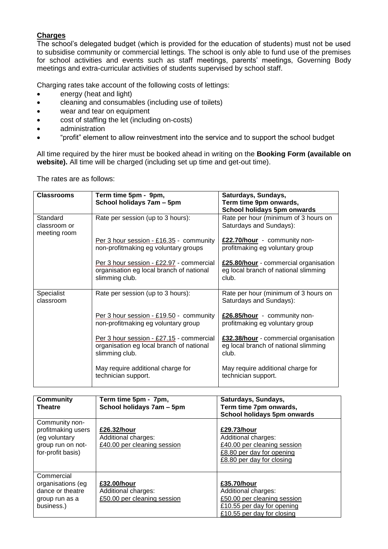# **Charges**

The school's delegated budget (which is provided for the education of students) must not be used to subsidise community or commercial lettings. The school is only able to fund use of the premises for school activities and events such as staff meetings, parents' meetings, Governing Body meetings and extra-curricular activities of students supervised by school staff.

Charging rates take account of the following costs of lettings:

- energy (heat and light)
- cleaning and consumables (including use of toilets)
- wear and tear on equipment
- cost of staffing the let (including on-costs)
- administration
- "profit" element to allow reinvestment into the service and to support the school budget

All time required by the hirer must be booked ahead in writing on the **Booking Form (available on website).** All time will be charged (including set up time and get-out time).

The rates are as follows:

| <b>Classrooms</b>                        | Term time 5pm - 9pm,<br>School holidays 7am - 5pm                                                      | Saturdays, Sundays,<br>Term time 9pm onwards,<br>School holidays 5pm onwards           |
|------------------------------------------|--------------------------------------------------------------------------------------------------------|----------------------------------------------------------------------------------------|
| Standard<br>classroom or<br>meeting room | Rate per session (up to 3 hours):                                                                      | Rate per hour (minimum of 3 hours on<br>Saturdays and Sundays):                        |
|                                          | Per 3 hour session - £16.35 - community<br>non-profitmaking eg voluntary groups                        | £22.70/hour - community non-<br>profitmaking eg voluntary group                        |
|                                          | Per 3 hour session - £22.97 - commercial<br>organisation eg local branch of national<br>slimming club. | £25.80/hour - commercial organisation<br>eg local branch of national slimming<br>club. |
| Specialist<br>classroom                  | Rate per session (up to 3 hours):                                                                      | Rate per hour (minimum of 3 hours on<br>Saturdays and Sundays):                        |
|                                          | Per 3 hour session - £19.50 - community<br>non-profitmaking eg voluntary group                         | £26.85/hour - community non-<br>profitmaking eg voluntary group                        |
|                                          | Per 3 hour session - £27.15 - commercial<br>organisation eg local branch of national<br>slimming club. | £32.38/hour - commercial organisation<br>eg local branch of national slimming<br>club. |
|                                          | May require additional charge for<br>technician support.                                               | May require additional charge for<br>technician support.                               |

| <b>Community</b><br><b>Theatre</b>                                                              | Term time 5pm - 7pm,<br>School holidays 7am - 5pm                 | Saturdays, Sundays,<br>Term time 7pm onwards,<br>School holidays 5pm onwards                                                  |
|-------------------------------------------------------------------------------------------------|-------------------------------------------------------------------|-------------------------------------------------------------------------------------------------------------------------------|
| Community non-<br>profitmaking users<br>(eg voluntary<br>group run on not-<br>for-profit basis) | £26.32/hour<br>Additional charges:<br>£40.00 per cleaning session | £29.73/hour<br>Additional charges:<br>£40.00 per cleaning session<br>£8.80 per day for opening<br>£8.80 per day for closing   |
| Commercial<br>organisations (eg<br>dance or theatre<br>group run as a<br>business.)             | £32.00/hour<br>Additional charges:<br>£50.00 per cleaning session | £35.70/hour<br>Additional charges:<br>£50.00 per cleaning session<br>£10.55 per day for opening<br>£10.55 per day for closing |